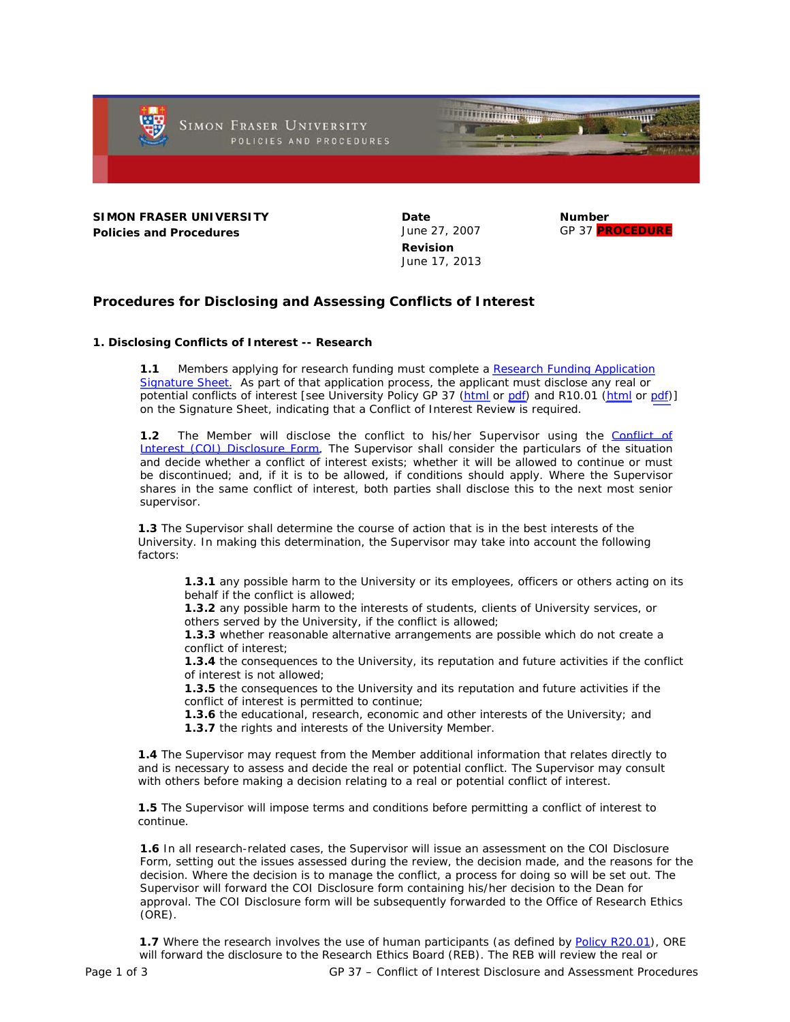

**SIMON FRASER UNIVERSITY Policies and Procedures**

**Date** June 27, 2007 **Revision** June 17, 2013

**Number** GP 37 **PROCEDURE**

**Procedures for Disclosing and Assessing Conflicts of Interest**

# **1. Disclosing Conflicts of Interest -- Research**

**1.1** Members applying for research funding must complete a Research Funding Application [Signature Sheet.](http://www.sfu.ca/ors/forms.html) As part of that application process, the applicant must disclose any real or potential conflicts of interest [see University Policy GP 37 [\(html](http://www.sfu.ca/policies/gazette/research/r10-01.html) or [pdf\)](http://www.sfu.ca/content/dam/sfu/policies/files/general_policies/gp_37/GP_37.pdf) and R10.01 (html or [pdf\)](http://www.sfu.ca/content/dam/sfu/policies/files/research_policies/10_series/R10-1.pdf)] on the Signature Sheet, indicating that a Conflict of Interest Review is required.

**1.2** The Member will disclose the conflict to his/her Supervisor using the [Conflict of](http://www.sfu.ca/content/dam/sfu/policies/files/general_policies/gp_37/GP_37_COI_disclosure_form.pdf) [Interest \(COI\) Disclosure Form.](http://www.sfu.ca/content/dam/sfu/policies/files/general_policies/gp_37/GP_37_COI_disclosure_form.pdf) The Supervisor shall consider the particulars of the situation and decide whether a conflict of interest exists; whether it will be allowed to continue or must be discontinued; and, if it is to be allowed, if conditions should apply. Where the Supervisor shares in the same conflict of interest, both parties shall disclose this to the next most senior supervisor.

**1.3** The Supervisor shall determine the course of action that is in the best interests of the University. In making this determination, the Supervisor may take into account the following factors:

**1.3.1** any possible harm to the University or its employees, officers or others acting on its behalf if the conflict is allowed;

**1.3.2** any possible harm to the interests of students, clients of University services, or others served by the University, if the conflict is allowed;

**1.3.3** whether reasonable alternative arrangements are possible which do not create a conflict of interest;

**1.3.4** the consequences to the University, its reputation and future activities if the conflict of interest is not allowed;

**1.3.5** the consequences to the University and its reputation and future activities if the conflict of interest is permitted to continue;

**1.3.6** the educational, research, economic and other interests of the University; and **1.3.7** the rights and interests of the University Member.

**1.4** The Supervisor may request from the Member additional information that relates directly to and is necessary to assess and decide the real or potential conflict. The Supervisor may consult with others before making a decision relating to a real or potential conflict of interest.

**1.5** The Supervisor will impose terms and conditions before permitting a conflict of interest to continue.

**1.6** In all research-related cases, the Supervisor will issue an assessment on the COI Disclosure Form, setting out the issues assessed during the review, the decision made, and the reasons for the decision. Where the decision is to manage the conflict, a process for doing so will be set out. The Supervisor will forward the COI Disclosure form containing his/her decision to the Dean for approval. The COI Disclosure form will be subsequently forwarded to the Office of Research Ethics (ORE).

**1.7** Where the research involves the use of human participants (as defined by [Policy R20.01](http://www.sfu.ca/policies/gazette/research/r20-01.html)), ORE will forward the disclosure to the Research Ethics Board (REB). The REB will review the real or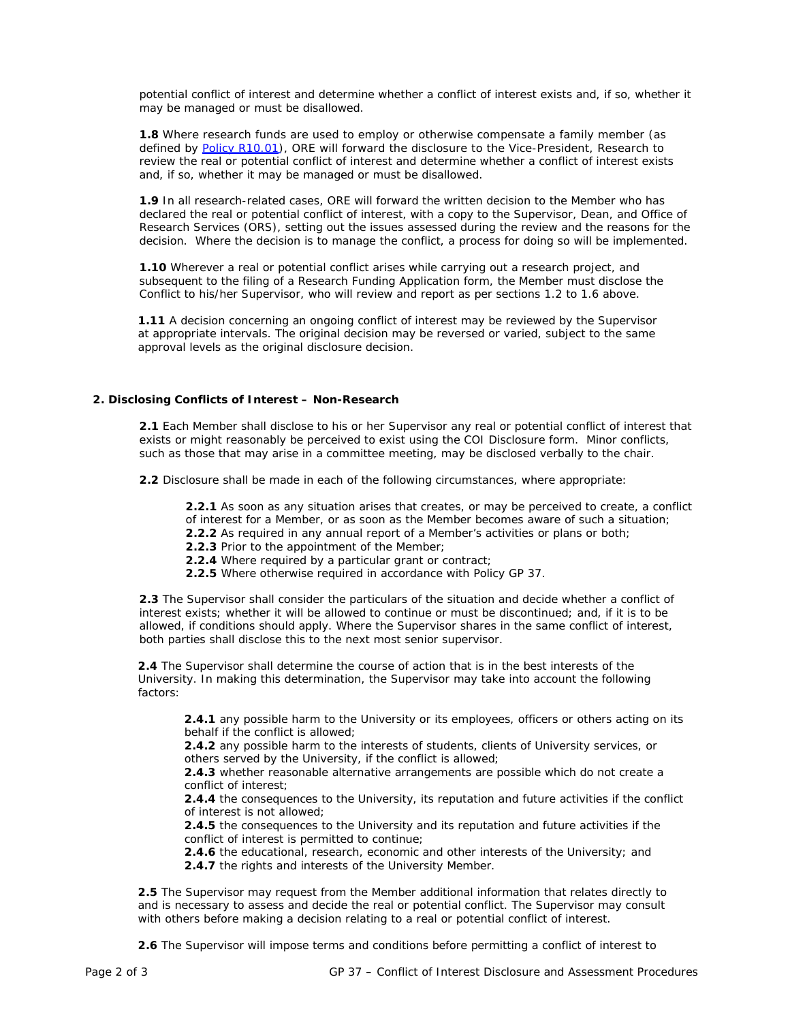potential conflict of interest and determine whether a conflict of interest exists and, if so, whether it may be managed or must be disallowed.

**1.8** Where research funds are used to employ or otherwise compensate a family member (as defined by [Policy R10.01\)](http://www.sfu.ca/policies/gazette/research/r10-01.html), ORE will forward the disclosure to the Vice-President, Research to review the real or potential conflict of interest and determine whether a conflict of interest exists and, if so, whether it may be managed or must be disallowed.

**1.9** In all research-related cases, ORE will forward the written decision to the Member who has declared the real or potential conflict of interest, with a copy to the Supervisor, Dean, and Office of Research Services (ORS), setting out the issues assessed during the review and the reasons for the decision. Where the decision is to manage the conflict, a process for doing so will be implemented.

**1.10** Wherever a real or potential conflict arises while carrying out a research project, and subsequent to the filing of a Research Funding Application form, the Member must disclose the Conflict to his/her Supervisor, who will review and report as per sections 1.2 to 1.6 above.

**1.11** A decision concerning an ongoing conflict of interest may be reviewed by the Supervisor at appropriate intervals. The original decision may be reversed or varied, subject to the same approval levels as the original disclosure decision.

### **2. Disclosing Conflicts of Interest – Non-Research**

**2.1** Each Member shall disclose to his or her Supervisor any real or potential conflict of interest that exists or might reasonably be perceived to exist using the COI Disclosure form. Minor conflicts, such as those that may arise in a committee meeting, may be disclosed verbally to the chair.

**2.2** Disclosure shall be made in each of the following circumstances, where appropriate:

**2.2.1** As soon as any situation arises that creates, or may be perceived to create, a conflict of interest for a Member, or as soon as the Member becomes aware of such a situation;

- **2.2.2** As required in any annual report of a Member's activities or plans or both;
- **2.2.3** Prior to the appointment of the Member;
- **2.2.4** Where required by a particular grant or contract;
- **2.2.5** Where otherwise required in accordance with Policy GP 37.

**2.3** The Supervisor shall consider the particulars of the situation and decide whether a conflict of interest exists; whether it will be allowed to continue or must be discontinued; and, if it is to be allowed, if conditions should apply. Where the Supervisor shares in the same conflict of interest, both parties shall disclose this to the next most senior supervisor.

**2.4** The Supervisor shall determine the course of action that is in the best interests of the University. In making this determination, the Supervisor may take into account the following factors:

**2.4.1** any possible harm to the University or its employees, officers or others acting on its behalf if the conflict is allowed;

**2.4.2** any possible harm to the interests of students, clients of University services, or others served by the University, if the conflict is allowed;

**2.4.3** whether reasonable alternative arrangements are possible which do not create a conflict of interest;

**2.4.4** the consequences to the University, its reputation and future activities if the conflict of interest is not allowed;

**2.4.5** the consequences to the University and its reputation and future activities if the conflict of interest is permitted to continue;

**2.4.6** the educational, research, economic and other interests of the University; and **2.4.7** the rights and interests of the University Member.

**2.5** The Supervisor may request from the Member additional information that relates directly to and is necessary to assess and decide the real or potential conflict. The Supervisor may consult with others before making a decision relating to a real or potential conflict of interest.

**2.6** The Supervisor will impose terms and conditions before permitting a conflict of interest to